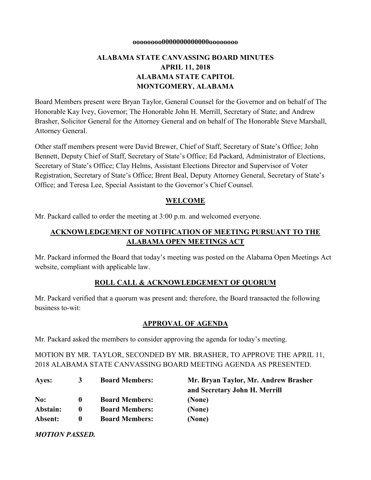#### **oooooooo0000000000000oooooooo**

# **ALABAMA STATE CANVASSING BOARD MINUTES APRIL 11, 2018 ALABAMA STATE CAPITOL MONTGOMERY, ALABAMA**

Board Members present were Bryan Taylor, General Counsel for the Governor and on behalf of The Honorable Kay Ivey, Governor; The Honorable John H. Merrill, Secretary of State; and Andrew Brasher, Solicitor General for the Attorney General and on behalf of The Honorable Steve Marshall, Attorney General.

Other staff members present were David Brewer, Chief of Staff, Secretary of State's Office; John Bennett, Deputy Chief of Staff, Secretary of State's Office; Ed Packard, Administrator of Elections, Secretary of State's Office; Clay Helms, Assistant Elections Director and Supervisor of Voter Registration, Secretary of State's Office; Brent Beal, Deputy Attorney General, Secretary of State's Office; and Teresa Lee, Special Assistant to the Governor's Chief Counsel.

#### **WELCOME**

Mr. Packard called to order the meeting at 3:00 p.m. and welcomed everyone.

## **ACKNOWLEDGEMENT OF NOTIFICATION OF MEETING PURSUANT TO THE ALABAMA OPEN MEETINGS ACT**

Mr. Packard informed the Board that today's meeting was posted on the Alabama Open Meetings Act website, compliant with applicable law.

### **ROLL CALL & ACKNOWLEDGEMENT OF QUORUM**

Mr. Packard verified that a quorum was present and; therefore, the Board transacted the following business to-wit:

### **APPROVAL OF AGENDA**

Mr. Packard asked the members to consider approving the agenda for today's meeting.

MOTION BY MR. TAYLOR, SECONDED BY MR. BRASHER, TO APPROVE THE APRIL 11, 2018 ALABAMA STATE CANVASSING BOARD MEETING AGENDA AS PRESENTED.

| Ayes:    | 3            | <b>Board Members:</b> | Mr. Bryan Taylor, Mr. Andrew Brasher |
|----------|--------------|-----------------------|--------------------------------------|
|          |              |                       | and Secretary John H. Merrill        |
| No:      | $\mathbf{0}$ | <b>Board Members:</b> | (None)                               |
| Abstain: | 0            | <b>Board Members:</b> | (None)                               |
| Absent:  | $\mathbf 0$  | <b>Board Members:</b> | (None)                               |

*MOTION PASSED.*